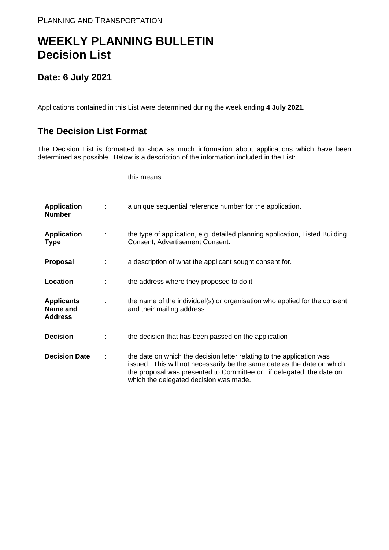## **WEEKLY PLANNING BULLETIN Decision List**

## **Date: 6 July 2021**

Applications contained in this List were determined during the week ending **4 July 2021**.

## **The Decision List Format**

The Decision List is formatted to show as much information about applications which have been determined as possible. Below is a description of the information included in the List:

this means...

| <b>Application</b><br><b>Number</b>             |   | a unique sequential reference number for the application.                                                                                                                                                                                                           |
|-------------------------------------------------|---|---------------------------------------------------------------------------------------------------------------------------------------------------------------------------------------------------------------------------------------------------------------------|
| <b>Application</b><br><b>Type</b>               | ÷ | the type of application, e.g. detailed planning application, Listed Building<br>Consent, Advertisement Consent.                                                                                                                                                     |
| <b>Proposal</b>                                 |   | a description of what the applicant sought consent for.                                                                                                                                                                                                             |
| Location                                        |   | the address where they proposed to do it                                                                                                                                                                                                                            |
| <b>Applicants</b><br>Name and<br><b>Address</b> | ÷ | the name of the individual(s) or organisation who applied for the consent<br>and their mailing address                                                                                                                                                              |
| <b>Decision</b>                                 |   | the decision that has been passed on the application                                                                                                                                                                                                                |
| <b>Decision Date</b>                            | ÷ | the date on which the decision letter relating to the application was<br>issued. This will not necessarily be the same date as the date on which<br>the proposal was presented to Committee or, if delegated, the date on<br>which the delegated decision was made. |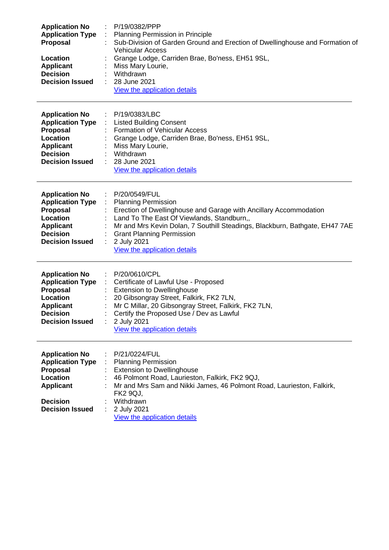| <b>Application No</b><br><b>Application Type</b><br><b>Proposal</b><br>Location<br><b>Applicant</b><br><b>Decision</b><br><b>Decision Issued</b>        | P/19/0382/PPP<br>Planning Permission in Principle<br>Sub-Division of Garden Ground and Erection of Dwellinghouse and Formation of<br><b>Vehicular Access</b><br>Grange Lodge, Carriden Brae, Bo'ness, EH51 9SL,<br>Miss Mary Lourie,<br>Withdrawn<br>28 June 2021<br>View the application details                                                                 |
|---------------------------------------------------------------------------------------------------------------------------------------------------------|-------------------------------------------------------------------------------------------------------------------------------------------------------------------------------------------------------------------------------------------------------------------------------------------------------------------------------------------------------------------|
| <b>Application No</b><br><b>Application Type</b><br><b>Proposal</b><br><b>Location</b><br><b>Applicant</b><br><b>Decision</b><br><b>Decision Issued</b> | P/19/0383/LBC<br><b>Listed Building Consent</b><br><b>Formation of Vehicular Access</b><br>Grange Lodge, Carriden Brae, Bo'ness, EH51 9SL,<br>Miss Mary Lourie,<br>Withdrawn<br>28 June 2021<br>View the application details                                                                                                                                      |
| <b>Application No</b><br><b>Application Type</b><br><b>Proposal</b><br>Location<br><b>Applicant</b><br><b>Decision</b><br><b>Decision Issued</b>        | : P/20/0549/FUL<br><b>Planning Permission</b><br>Erection of Dwellinghouse and Garage with Ancillary Accommodation<br>Land To The East Of Viewlands, Standburn,,<br>Mr and Mrs Kevin Dolan, 7 Southill Steadings, Blackburn, Bathgate, EH47 7AE<br><b>Grant Planning Permission</b><br>2 July 2021<br>$\mathcal{L}^{\mathcal{L}}$<br>View the application details |
| <b>Application No</b><br><b>Application Type</b><br><b>Proposal</b><br>Location<br><b>Applicant</b><br><b>Decision</b><br><b>Decision Issued</b>        | P/20/0610/CPL<br>Certificate of Lawful Use - Proposed<br><b>Extension to Dwellinghouse</b><br>20 Gibsongray Street, Falkirk, FK2 7LN,<br>Mr C Millar, 20 Gibsongray Street, Falkirk, FK2 7LN,<br>Certify the Proposed Use / Dev as Lawful<br>2 July 2021<br>View the application details                                                                          |
| <b>Application No</b><br><b>Application Type</b><br>Proposal<br><b>Location</b><br><b>Applicant</b><br><b>Decision</b><br><b>Decision Issued</b>        | P/21/0224/FUL<br><b>Planning Permission</b><br><b>Extension to Dwellinghouse</b><br>46 Polmont Road, Laurieston, Falkirk, FK2 9QJ,<br>Mr and Mrs Sam and Nikki James, 46 Polmont Road, Laurieston, Falkirk,<br><b>FK2 9QJ,</b><br>Withdrawn<br>2 July 2021<br>View the application details                                                                        |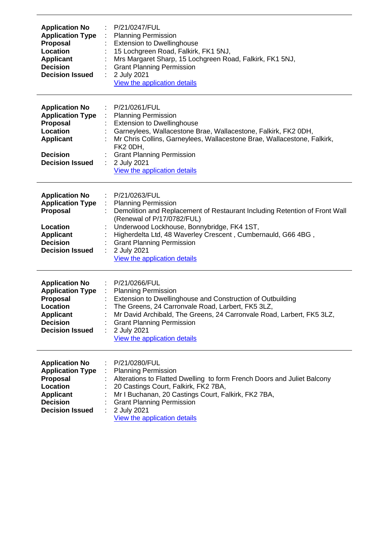| <b>Application No</b><br><b>Application Type</b><br>Proposal<br>Location<br><b>Applicant</b><br><b>Decision</b><br><b>Decision Issued</b>        | : $P/21/0247/FUL$<br><b>Planning Permission</b><br>$\mathcal{I}^{\mathcal{I}}$<br><b>Extension to Dwellinghouse</b><br>15 Lochgreen Road, Falkirk, FK1 5NJ,<br>Mrs Margaret Sharp, 15 Lochgreen Road, Falkirk, FK1 5NJ,<br><b>Grant Planning Permission</b><br>2 July 2021<br>÷<br>View the application details                                                                                                                                  |
|--------------------------------------------------------------------------------------------------------------------------------------------------|--------------------------------------------------------------------------------------------------------------------------------------------------------------------------------------------------------------------------------------------------------------------------------------------------------------------------------------------------------------------------------------------------------------------------------------------------|
| <b>Application No</b><br><b>Application Type</b><br>Proposal<br>Location<br><b>Applicant</b><br><b>Decision</b><br><b>Decision Issued</b>        | : P/21/0261/FUL<br><b>Planning Permission</b><br><b>Extension to Dwellinghouse</b><br>Garneylees, Wallacestone Brae, Wallacestone, Falkirk, FK2 0DH,<br>Mr Chris Collins, Garneylees, Wallacestone Brae, Wallacestone, Falkirk,<br>FK2 0DH,<br><b>Grant Planning Permission</b><br>2 July 2021<br>$\mathbb{Z}^n$<br>View the application details                                                                                                 |
| <b>Application No</b><br><b>Application Type</b><br>Proposal<br>Location<br><b>Applicant</b><br><b>Decision</b><br><b>Decision Issued</b>        | P/21/0263/FUL<br>$\mathcal{L}_{\mathcal{A}}$<br><b>Planning Permission</b><br>$\mathcal{L}_{\mathrm{eff}}$<br>Demolition and Replacement of Restaurant Including Retention of Front Wall<br>(Renewal of P/17/0782/FUL)<br>Underwood Lockhouse, Bonnybridge, FK4 1ST,<br>Higherdelta Ltd, 48 Waverley Crescent, Cumbernauld, G66 4BG,<br><b>Grant Planning Permission</b><br>2 July 2021<br>$\mathbb{Z}^{\times}$<br>View the application details |
| <b>Application No</b><br><b>Application Type</b><br>Proposal<br>Location<br><b>Applicant</b><br><b>Decision</b><br><b>Decision Issued</b>        | P/21/0266/FUL<br>$\mathcal{I}^{\mathcal{I}}$<br>$\mathcal{L}^{\mathcal{L}}$<br><b>Planning Permission</b><br>Extension to Dwellinghouse and Construction of Outbuilding<br>The Greens, 24 Carronvale Road, Larbert, FK5 3LZ,<br>Mr David Archibald, The Greens, 24 Carronvale Road, Larbert, FK5 3LZ,<br><b>Grant Planning Permission</b><br>2 July 2021<br>View the application details                                                         |
| <b>Application No</b><br><b>Application Type</b><br>Proposal<br><b>Location</b><br><b>Applicant</b><br><b>Decision</b><br><b>Decision Issued</b> | P/21/0280/FUL<br><b>Planning Permission</b><br>÷<br>Alterations to Flatted Dwelling to form French Doors and Juliet Balcony<br>20 Castings Court, Falkirk, FK2 7BA,<br>Mr I Buchanan, 20 Castings Court, Falkirk, FK2 7BA,<br><b>Grant Planning Permission</b><br>2 July 2021<br>View the application details                                                                                                                                    |